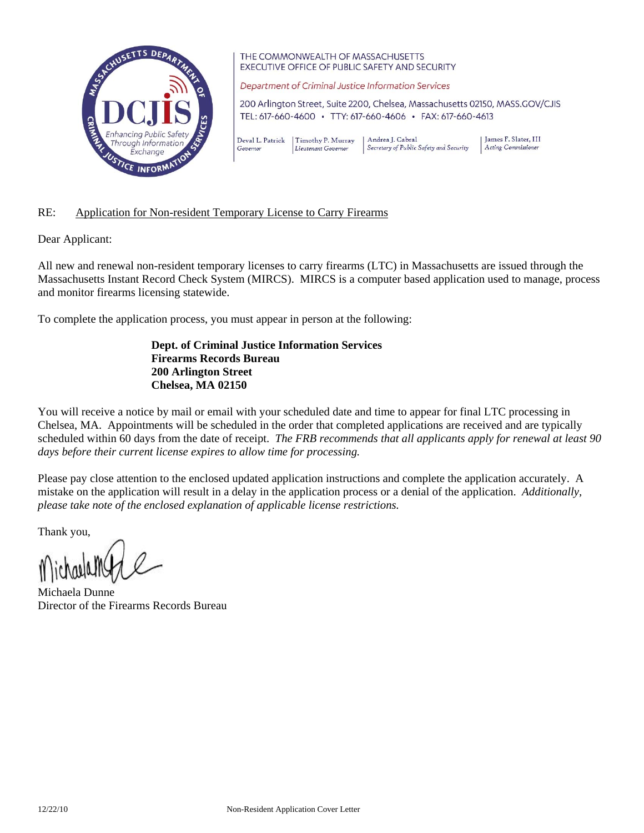

THE COMMONWEALTH OF MASSACHUSETTS EXECUTIVE OFFICE OF PUBLIC SAFETY AND SECURITY

Department of Criminal Justice Information Services

200 Arlington Street, Suite 2200, Chelsea, Massachusetts 02150, MASS.GOV/CJIS TEL: 617-660-4600 · TTY: 617-660-4606 · FAX: 617-660-4613

Deval L. Patrick | Timothy P. Murray Andrea J. Cabral Secretary of Public Safety and Security Governor Lieutenant Governor

James F. Slater, III Acting Commissioner

## RE: Application for Non-resident Temporary License to Carry Firearms

Dear Applicant:

All new and renewal non-resident temporary licenses to carry firearms (LTC) in Massachusetts are issued through the Massachusetts Instant Record Check System (MIRCS). MIRCS is a computer based application used to manage, process and monitor firearms licensing statewide.

To complete the application process, you must appear in person at the following:

 **Dept. of Criminal Justice Information Services Firearms Records Bureau 200 Arlington Street Chelsea, MA 02150** 

You will receive a notice by mail or email with your scheduled date and time to appear for final LTC processing in Chelsea, MA. Appointments will be scheduled in the order that completed applications are received and are typically scheduled within 60 days from the date of receipt. *The FRB recommends that all applicants apply for renewal at least 90 days before their current license expires to allow time for processing.*

Please pay close attention to the enclosed updated application instructions and complete the application accurately. A mistake on the application will result in a delay in the application process or a denial of the application. *Additionally, please take note of the enclosed explanation of applicable license restrictions.* 

Thank you,

Michaela Dunne Director of the Firearms Records Bureau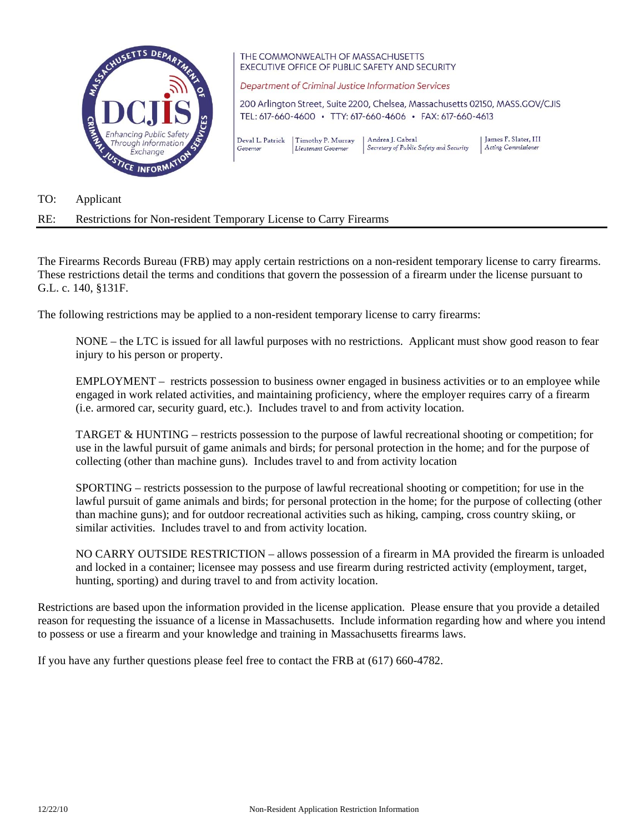

THE COMMONWEALTH OF MASSACHUSETTS EXECUTIVE OFFICE OF PUBLIC SAFETY AND SECURITY

Department of Criminal Justice Information Services

200 Arlington Street, Suite 2200, Chelsea, Massachusetts 02150, MASS.GOV/CJIS TEL: 617-660-4600 · TTY: 617-660-4606 · FAX: 617-660-4613

Deval L. Patrick | Timothy P. Murray Andrea J. Cabral Secretary of Public Safety and Security Governor Lieutenant Governor

James F. Slater, III Acting Commissioner

TO: Applicant

## RE: Restrictions for Non-resident Temporary License to Carry Firearms

The Firearms Records Bureau (FRB) may apply certain restrictions on a non-resident temporary license to carry firearms. These restrictions detail the terms and conditions that govern the possession of a firearm under the license pursuant to G.L. c. 140, §131F.

The following restrictions may be applied to a non-resident temporary license to carry firearms:

NONE – the LTC is issued for all lawful purposes with no restrictions. Applicant must show good reason to fear injury to his person or property.

EMPLOYMENT – restricts possession to business owner engaged in business activities or to an employee while engaged in work related activities, and maintaining proficiency, where the employer requires carry of a firearm (i.e. armored car, security guard, etc.). Includes travel to and from activity location.

TARGET & HUNTING – restricts possession to the purpose of lawful recreational shooting or competition; for use in the lawful pursuit of game animals and birds; for personal protection in the home; and for the purpose of collecting (other than machine guns). Includes travel to and from activity location

SPORTING – restricts possession to the purpose of lawful recreational shooting or competition; for use in the lawful pursuit of game animals and birds; for personal protection in the home; for the purpose of collecting (other than machine guns); and for outdoor recreational activities such as hiking, camping, cross country skiing, or similar activities. Includes travel to and from activity location.

NO CARRY OUTSIDE RESTRICTION – allows possession of a firearm in MA provided the firearm is unloaded and locked in a container; licensee may possess and use firearm during restricted activity (employment, target, hunting, sporting) and during travel to and from activity location.

Restrictions are based upon the information provided in the license application. Please ensure that you provide a detailed reason for requesting the issuance of a license in Massachusetts. Include information regarding how and where you intend to possess or use a firearm and your knowledge and training in Massachusetts firearms laws.

If you have any further questions please feel free to contact the FRB at (617) 660-4782.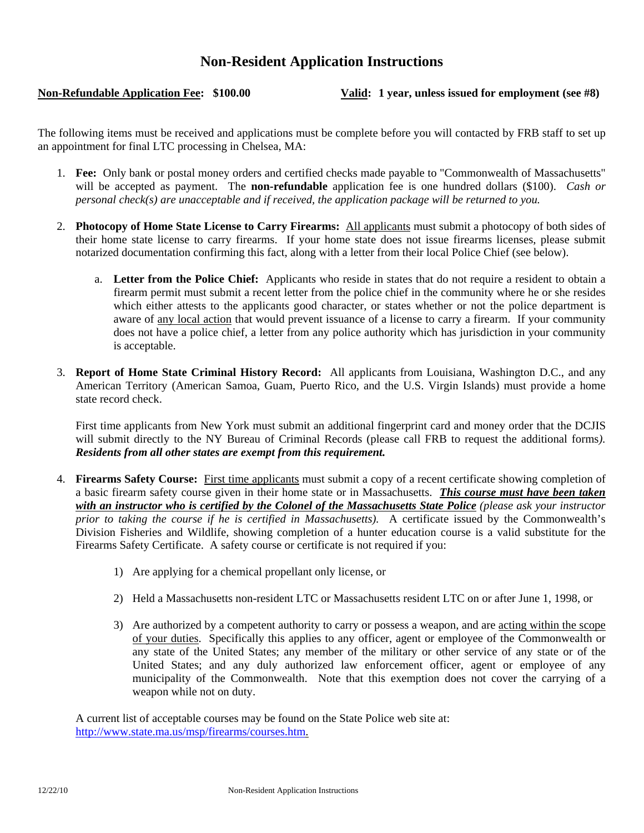## **Non-Resident Application Instructions**

**Non-Refundable Application Fee: \$100.00 Valid: 1 year, unless issued for employment (see #8)** 

The following items must be received and applications must be complete before you will contacted by FRB staff to set up an appointment for final LTC processing in Chelsea, MA:

- 1. **Fee:** Only bank or postal money orders and certified checks made payable to "Commonwealth of Massachusetts" will be accepted as payment. The **non-refundable** application fee is one hundred dollars (\$100). *Cash or personal check(s) are unacceptable and if received, the application package will be returned to you.*
- 2. **Photocopy of Home State License to Carry Firearms:** All applicants must submit a photocopy of both sides of their home state license to carry firearms. If your home state does not issue firearms licenses, please submit notarized documentation confirming this fact, along with a letter from their local Police Chief (see below).
	- a. **Letter from the Police Chief:** Applicants who reside in states that do not require a resident to obtain a firearm permit must submit a recent letter from the police chief in the community where he or she resides which either attests to the applicants good character, or states whether or not the police department is aware of any local action that would prevent issuance of a license to carry a firearm. If your community does not have a police chief, a letter from any police authority which has jurisdiction in your community is acceptable.
- 3. **Report of Home State Criminal History Record:** All applicants from Louisiana, Washington D.C., and any American Territory (American Samoa, Guam, Puerto Rico, and the U.S. Virgin Islands) must provide a home state record check.

First time applicants from New York must submit an additional fingerprint card and money order that the DCJIS will submit directly to the NY Bureau of Criminal Records (please call FRB to request the additional forms*). Residents from all other states are exempt from this requirement.*

- 4. **Firearms Safety Course:** First time applicants must submit a copy of a recent certificate showing completion of a basic firearm safety course given in their home state or in Massachusetts. *This course must have been taken with an instructor who is certified by the Colonel of the Massachusetts State Police (please ask your instructor prior to taking the course if he is certified in Massachusetts).*A certificate issued by the Commonwealth's Division Fisheries and Wildlife, showing completion of a hunter education course is a valid substitute for the Firearms Safety Certificate. A safety course or certificate is not required if you:
	- 1) Are applying for a chemical propellant only license, or
	- 2) Held a Massachusetts non-resident LTC or Massachusetts resident LTC on or after June 1, 1998, or
	- 3) Are authorized by a competent authority to carry or possess a weapon, and are acting within the scope of your duties. Specifically this applies to any officer, agent or employee of the Commonwealth or any state of the United States; any member of the military or other service of any state or of the United States; and any duly authorized law enforcement officer, agent or employee of any municipality of the Commonwealth. Note that this exemption does not cover the carrying of a weapon while not on duty.

 A current list of acceptable courses may be found on the State Police web site at: http://www.state.ma.us/msp/firearms/courses.htm.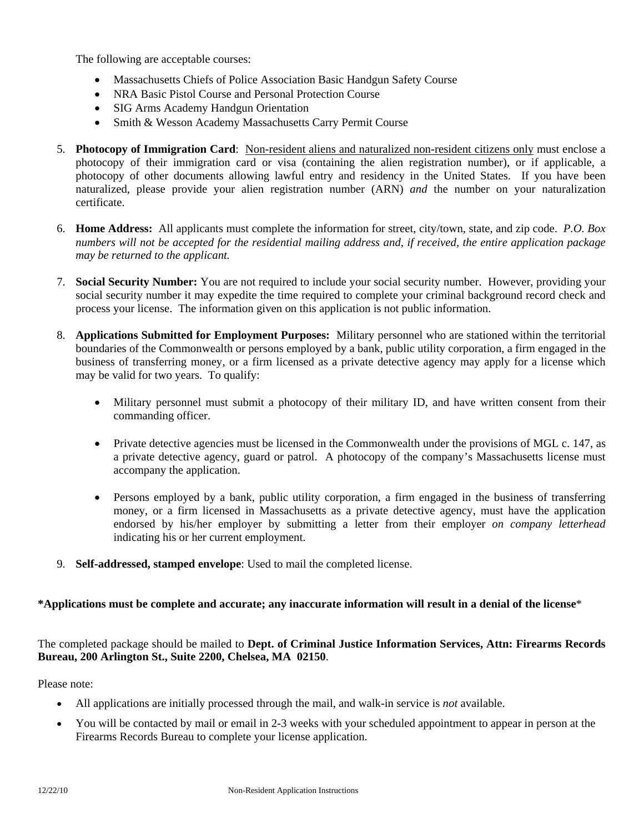The following are acceptable courses:

- Massachusetts Chiefs of Police Association Basic Handgun Safety Course
- NRA Basic Pistol Course and Personal Protection Course
- SIG Arms Academy Handgun Orientation
- Smith & Wesson Academy Massachusetts Carry Permit Course
- 5. **Photocopy of Immigration Card**: Non-resident aliens and naturalized non-resident citizens only must enclose a photocopy of their immigration card or visa (containing the alien registration number), or if applicable, a photocopy of other documents allowing lawful entry and residency in the United States. If you have been naturalized, please provide your alien registration number (ARN) *and* the number on your naturalization certificate.
- 6. **Home Address:** All applicants must complete the information for street, city/town, state, and zip code. *P.O. Box numbers will not be accepted for the residential mailing address and, if received, the entire application package may be returned to the applicant.*
- 7. **Social Security Number:** You are not required to include your social security number. However, providing your social security number it may expedite the time required to complete your criminal background record check and process your license. The information given on this application is not public information.
- 8. **Applications Submitted for Employment Purposes:** Military personnel who are stationed within the territorial boundaries of the Commonwealth or persons employed by a bank, public utility corporation, a firm engaged in the business of transferring money, or a firm licensed as a private detective agency may apply for a license which may be valid for two years. To qualify:
	- Military personnel must submit a photocopy of their military ID, and have written consent from their commanding officer.
	- Private detective agencies must be licensed in the Commonwealth under the provisions of MGL c. 147, as a private detective agency, guard or patrol. A photocopy of the company's Massachusetts license must accompany the application.
	- Persons employed by a bank, public utility corporation, a firm engaged in the business of transferring money, or a firm licensed in Massachusetts as a private detective agency, must have the application endorsed by his/her employer by submitting a letter from their employer *on company letterhead* indicating his or her current employment.
- 9. **Self-addressed, stamped envelope**: Used to mail the completed license.

## **\*Applications must be complete and accurate; any inaccurate information will result in a denial of the license**\*

The completed package should be mailed to **Dept. of Criminal Justice Information Services, Attn: Firearms Records Bureau, 200 Arlington St., Suite 2200, Chelsea, MA 02150**.

Please note:

- All applications are initially processed through the mail, and walk-in service is *not* available.
- You will be contacted by mail or email in 2-3 weeks with your scheduled appointment to appear in person at the Firearms Records Bureau to complete your license application.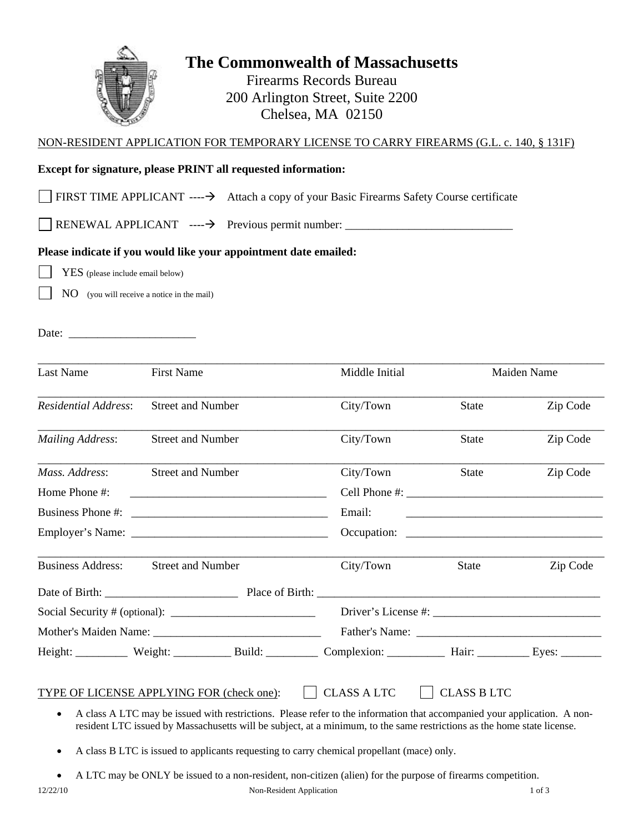

# **The Commonwealth of Massachusetts**

Firearms Records Bureau 200 Arlington Street, Suite 2200 Chelsea, MA 02150

## NON-RESIDENT APPLICATION FOR TEMPORARY LICENSE TO CARRY FIREARMS (G.L. c. 140, § 131F)

## **Except for signature, please PRINT all requested information:**

FIRST TIME APPLICANT  $---\rightarrow$  Attach a copy of your Basic Firearms Safety Course certificate

RENEWAL APPLICANT ---- Previous permit number: \_\_\_\_\_\_\_\_\_\_\_\_\_\_\_\_\_\_\_\_\_\_\_\_\_\_\_\_\_

## **Please indicate if you would like your appointment date emailed:**

YES (please include email below)

NO (you will receive a notice in the mail)

Date: \_\_\_\_\_\_\_\_\_\_\_\_\_\_\_\_\_\_\_\_\_\_

| Last Name                   | <b>First Name</b>                                                                                                                                                                                                             | Middle Initial      |                                                                                                                      | Maiden Name |  |
|-----------------------------|-------------------------------------------------------------------------------------------------------------------------------------------------------------------------------------------------------------------------------|---------------------|----------------------------------------------------------------------------------------------------------------------|-------------|--|
| <b>Residential Address:</b> | <b>Street and Number</b>                                                                                                                                                                                                      | City/Town           | <b>State</b>                                                                                                         | Zip Code    |  |
| <b>Mailing Address:</b>     | <b>Street and Number</b>                                                                                                                                                                                                      | City/Town           | <b>State</b>                                                                                                         | Zip Code    |  |
| Mass. Address:              | <b>Street and Number</b>                                                                                                                                                                                                      | City/Town           | <b>State</b>                                                                                                         | Zip Code    |  |
| Home Phone #:               | the control of the control of the control of the control of the control of the control of the control of the control of the control of the control of the control of the control of the control of the control of the control |                     |                                                                                                                      |             |  |
|                             | Business Phone #:                                                                                                                                                                                                             | Email:              | <u> 2001 - Jan James James James James James James James James James James James James James James James James J</u> |             |  |
|                             |                                                                                                                                                                                                                               |                     |                                                                                                                      |             |  |
| <b>Business Address:</b>    | <b>Street and Number</b>                                                                                                                                                                                                      | City/Town           | <b>State</b>                                                                                                         | Zip Code    |  |
|                             |                                                                                                                                                                                                                               |                     |                                                                                                                      |             |  |
|                             |                                                                                                                                                                                                                               | Driver's License #: |                                                                                                                      |             |  |
|                             |                                                                                                                                                                                                                               |                     |                                                                                                                      |             |  |
|                             | Height: Weight: Weight: Build: Complexion: Hair: Eyes: Eyes: Weight: Neight: Neight: Neight: Neight: Neight: N                                                                                                                |                     |                                                                                                                      |             |  |
|                             | TYPE OF LICENSE APPLYING FOR (check one):<br>A class A LTC may be issued with restrictions. Please refer to the information that accompanied your application. A non-                                                         | <b>CLASS A LTC</b>  | <b>CLASS B LTC</b>                                                                                                   |             |  |

- A class B LTC is issued to applicants requesting to carry chemical propellant (mace) only.
- A LTC may be ONLY be issued to a non-resident, non-citizen (alien) for the purpose of firearms competition.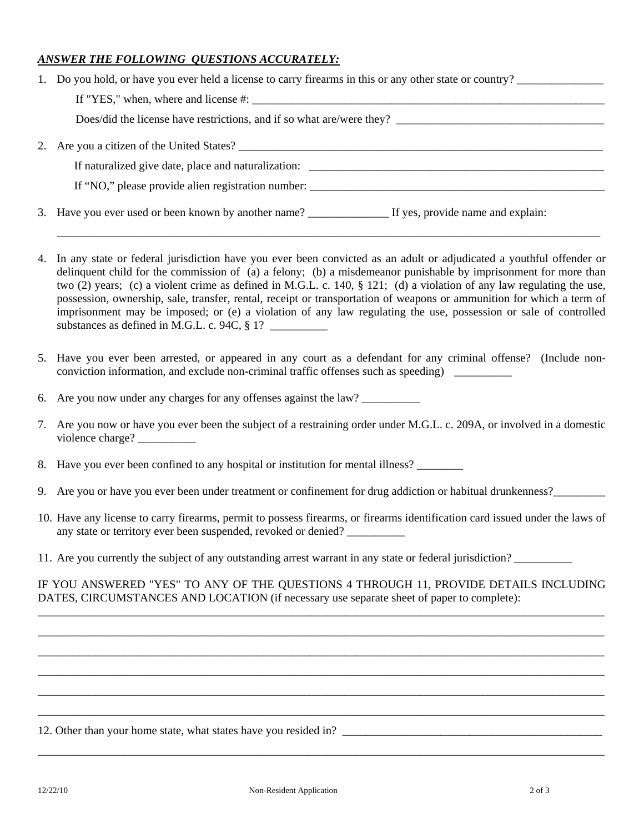## *ANSWER THE FOLLOWING QUESTIONS ACCURATELY:*

| 1. Do you hold, or have you ever held a license to carry firearms in this or any other state or country?                                                                                                                                                                                                                                                                                                                                                                                                                                                                                                    |
|-------------------------------------------------------------------------------------------------------------------------------------------------------------------------------------------------------------------------------------------------------------------------------------------------------------------------------------------------------------------------------------------------------------------------------------------------------------------------------------------------------------------------------------------------------------------------------------------------------------|
|                                                                                                                                                                                                                                                                                                                                                                                                                                                                                                                                                                                                             |
| Does/did the license have restrictions, and if so what are/were they?                                                                                                                                                                                                                                                                                                                                                                                                                                                                                                                                       |
| 2. Are you a citizen of the United States?                                                                                                                                                                                                                                                                                                                                                                                                                                                                                                                                                                  |
| If naturalized give date, place and naturalization: _____________________________                                                                                                                                                                                                                                                                                                                                                                                                                                                                                                                           |
| If "NO," please provide alien registration number:                                                                                                                                                                                                                                                                                                                                                                                                                                                                                                                                                          |
|                                                                                                                                                                                                                                                                                                                                                                                                                                                                                                                                                                                                             |
| 4. In any state or federal jurisdiction have you ever been convicted as an adult or adjudicated a youthful offender or<br>delinquent child for the commission of (a) a felony; (b) a misdemeanor punishable by imprisonment for more than<br>two (2) years; (c) a violent crime as defined in M.G.L. c. 140, $\S$ 121; (d) a violation of any law regulating the use,<br>$\mathcal{L}$ , and the contract of the contract of the contract of the contract of the contract of the contract of the contract of the contract of the contract of the contract of the contract of the contract of the contract o |

- possession, ownership, sale, transfer, rental, receipt or transportation of weapons or ammunition for which a term of imprisonment may be imposed; or (e) a violation of any law regulating the use, possession or sale of controlled substances as defined in M.G.L. c. 94C,  $\S$  1?
- 5. Have you ever been arrested, or appeared in any court as a defendant for any criminal offense? (Include nonconviction information, and exclude non-criminal traffic offenses such as speeding) \_\_\_\_\_\_\_\_\_\_
- 6. Are you now under any charges for any offenses against the law? \_\_\_\_\_\_\_\_\_\_
- 7. Are you now or have you ever been the subject of a restraining order under M.G.L. c. 209A, or involved in a domestic violence charge?
- 8. Have you ever been confined to any hospital or institution for mental illness?
- 9. Are you or have you ever been under treatment or confinement for drug addiction or habitual drunkenness?\_\_\_\_\_\_\_\_\_
- 10. Have any license to carry firearms, permit to possess firearms, or firearms identification card issued under the laws of any state or territory ever been suspended, revoked or denied? \_\_\_\_\_\_\_\_\_\_\_\_\_\_\_\_\_
- 11. Are you currently the subject of any outstanding arrest warrant in any state or federal jurisdiction?

IF YOU ANSWERED "YES" TO ANY OF THE QUESTIONS 4 THROUGH 11, PROVIDE DETAILS INCLUDING DATES, CIRCUMSTANCES AND LOCATION (if necessary use separate sheet of paper to complete): \_\_\_\_\_\_\_\_\_\_\_\_\_\_\_\_\_\_\_\_\_\_\_\_\_\_\_\_\_\_\_\_\_\_\_\_\_\_\_\_\_\_\_\_\_\_\_\_\_\_\_\_\_\_\_\_\_\_\_\_\_\_\_\_\_\_\_\_\_\_\_\_\_\_\_\_\_\_\_\_\_\_\_\_\_\_\_\_\_\_\_\_\_\_\_\_\_\_

\_\_\_\_\_\_\_\_\_\_\_\_\_\_\_\_\_\_\_\_\_\_\_\_\_\_\_\_\_\_\_\_\_\_\_\_\_\_\_\_\_\_\_\_\_\_\_\_\_\_\_\_\_\_\_\_\_\_\_\_\_\_\_\_\_\_\_\_\_\_\_\_\_\_\_\_\_\_\_\_\_\_\_\_\_\_\_\_\_\_\_\_\_\_\_\_\_\_ \_\_\_\_\_\_\_\_\_\_\_\_\_\_\_\_\_\_\_\_\_\_\_\_\_\_\_\_\_\_\_\_\_\_\_\_\_\_\_\_\_\_\_\_\_\_\_\_\_\_\_\_\_\_\_\_\_\_\_\_\_\_\_\_\_\_\_\_\_\_\_\_\_\_\_\_\_\_\_\_\_\_\_\_\_\_\_\_\_\_\_\_\_\_\_\_\_\_ \_\_\_\_\_\_\_\_\_\_\_\_\_\_\_\_\_\_\_\_\_\_\_\_\_\_\_\_\_\_\_\_\_\_\_\_\_\_\_\_\_\_\_\_\_\_\_\_\_\_\_\_\_\_\_\_\_\_\_\_\_\_\_\_\_\_\_\_\_\_\_\_\_\_\_\_\_\_\_\_\_\_\_\_\_\_\_\_\_\_\_\_\_\_\_\_\_\_ \_\_\_\_\_\_\_\_\_\_\_\_\_\_\_\_\_\_\_\_\_\_\_\_\_\_\_\_\_\_\_\_\_\_\_\_\_\_\_\_\_\_\_\_\_\_\_\_\_\_\_\_\_\_\_\_\_\_\_\_\_\_\_\_\_\_\_\_\_\_\_\_\_\_\_\_\_\_\_\_\_\_\_\_\_\_\_\_\_\_\_\_\_\_\_\_\_\_ \_\_\_\_\_\_\_\_\_\_\_\_\_\_\_\_\_\_\_\_\_\_\_\_\_\_\_\_\_\_\_\_\_\_\_\_\_\_\_\_\_\_\_\_\_\_\_\_\_\_\_\_\_\_\_\_\_\_\_\_\_\_\_\_\_\_\_\_\_\_\_\_\_\_\_\_\_\_\_\_\_\_\_\_\_\_\_\_\_\_\_\_\_\_\_\_\_\_

\_\_\_\_\_\_\_\_\_\_\_\_\_\_\_\_\_\_\_\_\_\_\_\_\_\_\_\_\_\_\_\_\_\_\_\_\_\_\_\_\_\_\_\_\_\_\_\_\_\_\_\_\_\_\_\_\_\_\_\_\_\_\_\_\_\_\_\_\_\_\_\_\_\_\_\_\_\_\_\_\_\_\_\_\_\_\_\_\_\_\_\_\_\_\_\_\_\_

12. Other than your home state, what states have you resided in? \_\_\_\_\_\_\_\_\_\_\_\_\_\_\_\_\_\_\_\_\_\_\_\_\_\_\_\_\_\_\_\_\_\_\_\_\_\_\_\_\_\_\_\_\_